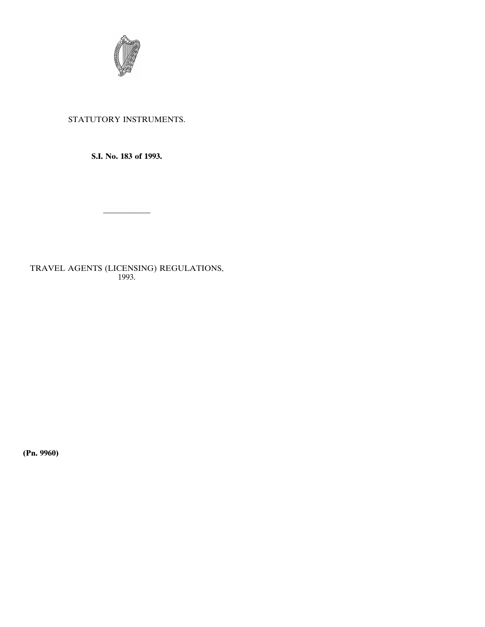

# STATUTORY INSTRUMENTS.

**S.I. No. 183 of 1993.**

——————

TRAVEL AGENTS (LICENSING) REGULATIONS, 1993.

**(Pn. 9960)**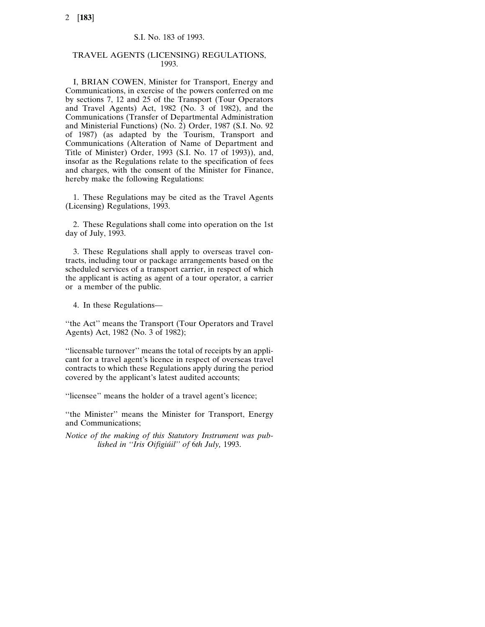### S.I. No. 183 of 1993.

### TRAVEL AGENTS (LICENSING) REGULATIONS, 1993.

I, BRIAN COWEN, Minister for Transport, Energy and Communications, in exercise of the powers conferred on me by sections 7, 12 and 25 of the Transport (Tour Operators and Travel Agents) Act, 1982 (No. 3 of 1982), and the Communications (Transfer of Departmental Administration and Ministerial Functions) (No. 2) Order, 1987 (S.I. No. 92 of 1987) (as adapted by the Tourism, Transport and Communications (Alteration of Name of Department and Title of Minister) Order, 1993 (S.I. No. 17 of 1993)), and, insofar as the Regulations relate to the specification of fees and charges, with the consent of the Minister for Finance, hereby make the following Regulations:

1. These Regulations may be cited as the Travel Agents (Licensing) Regulations, 1993.

2. These Regulations shall come into operation on the 1st day of July, 1993.

3. These Regulations shall apply to overseas travel contracts, including tour or package arrangements based on the scheduled services of a transport carrier, in respect of which the applicant is acting as agent of a tour operator, a carrier or a member of the public.

4. In these Regulations—

''the Act'' means the Transport (Tour Operators and Travel Agents) Act, 1982 (No. 3 of 1982);

''licensable turnover'' means the total of receipts by an applicant for a travel agent's licence in respect of overseas travel contracts to which these Regulations apply during the period covered by the applicant's latest audited accounts;

''licensee'' means the holder of a travel agent's licence;

"the Minister" means the Minister for Transport, Energy and Communications;

*Notice of the making of this Statutory Instrument was published in ''Iris Oifigiu´il'' of* 6*th July,* 1993.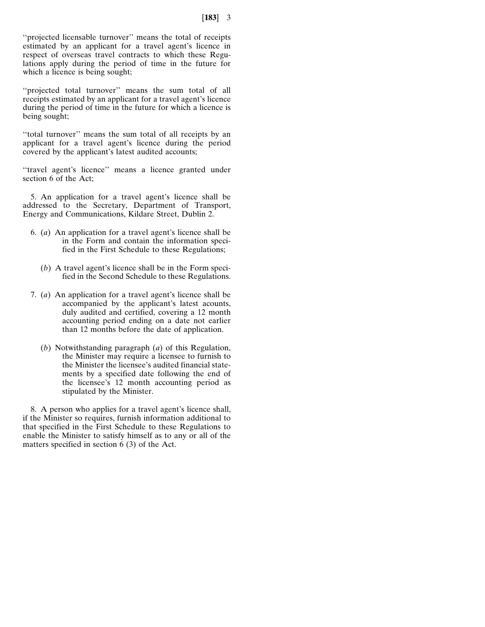"projected licensable turnover" means the total of receipts estimated by an applicant for a travel agent's licence in respect of overseas travel contracts to which these Regulations apply during the period of time in the future for which a licence is being sought;

"projected total turnover" means the sum total of all receipts estimated by an applicant for a travel agent's licence during the period of time in the future for which a licence is being sought;

''total turnover'' means the sum total of all receipts by an applicant for a travel agent's licence during the period covered by the applicant's latest audited accounts;

"travel agent's licence" means a licence granted under section 6 of the Act;

5. An application for a travel agent's licence shall be addressed to the Secretary, Department of Transport, Energy and Communications, Kildare Street, Dublin 2.

- 6. (*a*) An application for a travel agent's licence shall be in the Form and contain the information specified in the First Schedule to these Regulations;
	- (*b*) A travel agent's licence shall be in the Form specified in the Second Schedule to these Regulations.
- 7. (*a*) An application for a travel agent's licence shall be accompanied by the applicant's latest acounts, duly audited and certified, covering a 12 month accounting period ending on a date not earlier than 12 months before the date of application.
	- (*b*) Notwithstanding paragraph (*a*) of this Regulation, the Minister may require a licensee to furnish to the Minister the licensee's audited financial statements by a specified date following the end of the licensee's 12 month accounting period as stipulated by the Minister.

8. A person who applies for a travel agent's licence shall, if the Minister so requires, furnish information additional to that specified in the First Schedule to these Regulations to enable the Minister to satisfy himself as to any or all of the matters specified in section 6 (3) of the Act.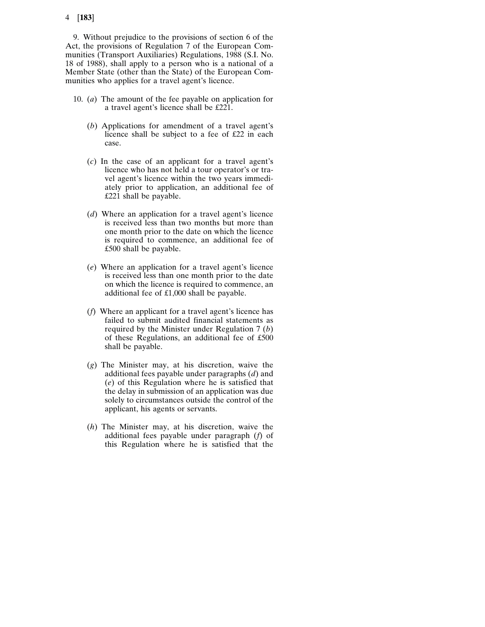9. Without prejudice to the provisions of section 6 of the Act, the provisions of Regulation 7 of the European Communities (Transport Auxiliaries) Regulations, 1988 (S.I. No. 18 of 1988), shall apply to a person who is a national of a Member State (other than the State) of the European Communities who applies for a travel agent's licence.

- 10. (*a*) The amount of the fee payable on application for a travel agent's licence shall be £221.
	- (*b*) Applications for amendment of a travel agent's licence shall be subject to a fee of £22 in each case.
	- (*c*) In the case of an applicant for a travel agent's licence who has not held a tour operator's or travel agent's licence within the two years immediately prior to application, an additional fee of £221 shall be payable.
	- (*d*) Where an application for a travel agent's licence is received less than two months but more than one month prior to the date on which the licence is required to commence, an additional fee of £500 shall be payable.
	- (*e*) Where an application for a travel agent's licence is received less than one month prior to the date on which the licence is required to commence, an additional fee of £1,000 shall be payable.
	- (*f*) Where an applicant for a travel agent's licence has failed to submit audited financial statements as required by the Minister under Regulation 7 (*b*) of these Regulations, an additional fee of £500 shall be payable.
	- (*g*) The Minister may, at his discretion, waive the additional fees payable under paragraphs (*d*) and (*e*) of this Regulation where he is satisfied that the delay in submission of an application was due solely to circumstances outside the control of the applicant, his agents or servants.
	- (*h*) The Minister may, at his discretion, waive the additional fees payable under paragraph (*f*) of this Regulation where he is satisfied that the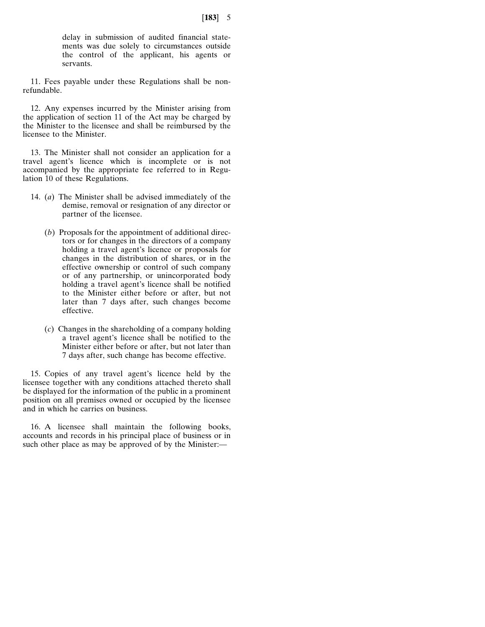delay in submission of audited financial statements was due solely to circumstances outside the control of the applicant, his agents or servants.

11. Fees payable under these Regulations shall be nonrefundable.

12. Any expenses incurred by the Minister arising from the application of section 11 of the Act may be charged by the Minister to the licensee and shall be reimbursed by the licensee to the Minister.

13. The Minister shall not consider an application for a travel agent's licence which is incomplete or is not accompanied by the appropriate fee referred to in Regulation 10 of these Regulations.

- 14. (*a*) The Minister shall be advised immediately of the demise, removal or resignation of any director or partner of the licensee.
	- (*b*) Proposals for the appointment of additional directors or for changes in the directors of a company holding a travel agent's licence or proposals for changes in the distribution of shares, or in the effective ownership or control of such company or of any partnership, or unincorporated body holding a travel agent's licence shall be notified to the Minister either before or after, but not later than 7 days after, such changes become effective.
	- (*c*) Changes in the shareholding of a company holding a travel agent's licence shall be notified to the Minister either before or after, but not later than 7 days after, such change has become effective.

15. Copies of any travel agent's licence held by the licensee together with any conditions attached thereto shall be displayed for the information of the public in a prominent position on all premises owned or occupied by the licensee and in which he carries on business.

16. A licensee shall maintain the following books, accounts and records in his principal place of business or in such other place as may be approved of by the Minister:—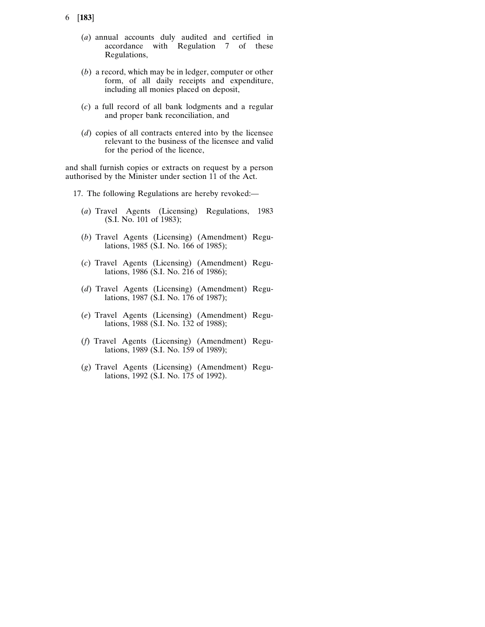- 6 [**183**]
	- (*a*) annual accounts duly audited and certified in accordance with Regulation 7 of these Regulations,
	- (*b*) a record, which may be in ledger, computer or other form, of all daily receipts and expenditure, including all monies placed on deposit,
	- (*c*) a full record of all bank lodgments and a regular and proper bank reconciliation, and
	- (*d*) copies of all contracts entered into by the licensee relevant to the business of the licensee and valid for the period of the licence,

and shall furnish copies or extracts on request by a person authorised by the Minister under section 11 of the Act.

- 17. The following Regulations are hereby revoked:—
	- (*a*) Travel Agents (Licensing) Regulations, 1983 (S.I. No. 101 of 1983);
	- (*b*) Travel Agents (Licensing) (Amendment) Regulations, 1985 (S.I. No. 166 of 1985);
	- (*c*) Travel Agents (Licensing) (Amendment) Regulations, 1986 (S.I. No. 216 of 1986);
	- (*d*) Travel Agents (Licensing) (Amendment) Regulations, 1987 (S.I. No. 176 of 1987);
	- (*e*) Travel Agents (Licensing) (Amendment) Regulations, 1988 (S.I. No. 132 of 1988);
	- (*f*) Travel Agents (Licensing) (Amendment) Regulations, 1989 (S.I. No. 159 of 1989);
	- (*g*) Travel Agents (Licensing) (Amendment) Regulations, 1992 (S.I. No. 175 of 1992).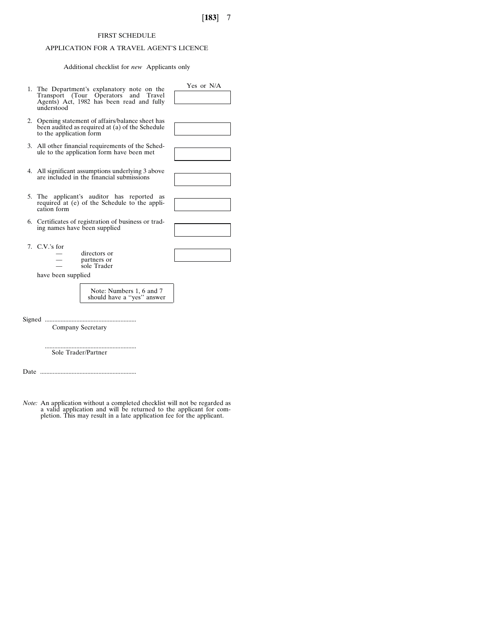# FIRST SCHEDULE

# APPLICATION FOR A TRAVEL AGENT'S LICENCE

Additional checklist for *new* Applicants only

| 1. The Department's explanatory note on the<br>Transport (Tour Operators and Travel<br>Agents) Act, 1982 has been read and fully<br>understood | Yes or N/A |
|------------------------------------------------------------------------------------------------------------------------------------------------|------------|
| 2. Opening statement of affairs/balance sheet has<br>been audited as required at (a) of the Schedule<br>to the application form                |            |
| 3. All other financial requirements of the Sched-<br>ule to the application form have been met                                                 |            |
| 4. All significant assumptions underlying 3 above<br>are included in the financial submissions                                                 |            |
| 5. The applicant's auditor has reported as<br>required at (e) of the Schedule to the appli-<br>cation form                                     |            |
| 6. Certificates of registration of business or trad-<br>ing names have been supplied                                                           |            |
| 7. C.V.'s for<br>directors or<br>partners or<br>sole Trader<br>have been supplied                                                              |            |
| Note: Numbers 1, 6 and 7<br>should have a "yes" answer                                                                                         |            |

Signed ..........................................................

Company Secretary

.......................................................... Sole Trader/Partner

Date .............................................................

*Note:* An application without a completed checklist will not be regarded as<br>a valid application and will be returned to the applicant for com-<br>pletion. This may result in a late application fee for the applicant.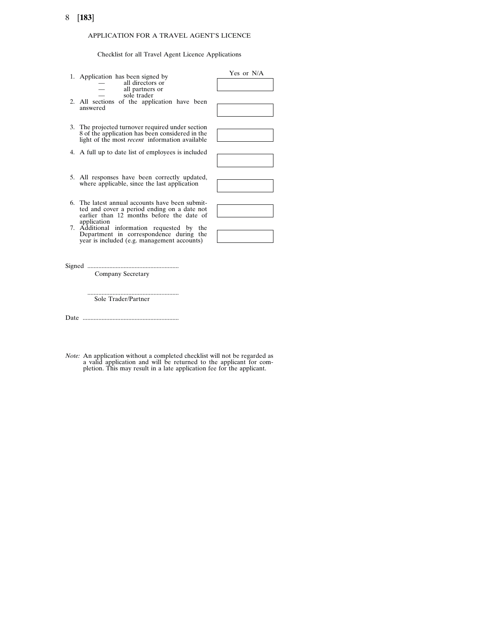## APPLICATION FOR A TRAVEL AGENT'S LICENCE

Checklist for all Travel Agent Licence Applications

| 1. Application has been signed by<br>all directors or<br>all partners or<br>sole trader<br>2. All sections of the application have been<br>answered          | Yes or N/A |
|--------------------------------------------------------------------------------------------------------------------------------------------------------------|------------|
| 3. The projected turnover required under section<br>8 of the application has been considered in the<br>light of the most <i>recent</i> information available |            |
| 4. A full up to date list of employees is included                                                                                                           |            |
| 5. All responses have been correctly updated,<br>where applicable, since the last application                                                                |            |
| 6. The latest annual accounts have been submit-<br>ted and cover a period ending on a date not<br>earlier than 12 months before the date of<br>application   |            |
| 7. Additional information requested by the<br>Department in correspondence during the<br>year is included (e.g. management accounts)                         |            |
| Signed<br>Company Secretary                                                                                                                                  |            |
| Sole Trader/Partner                                                                                                                                          |            |

Date .............................................................

*Note:* An application without a completed checklist will not be regarded as a valid application and will be returned to the applicant for completion. This may result in a late application fee for the applicant.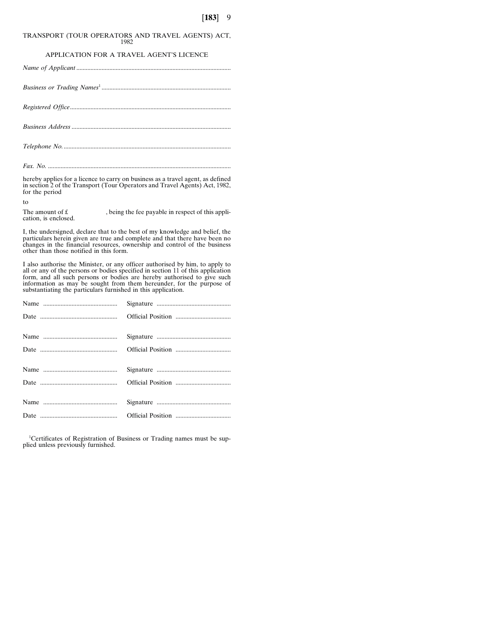#### TRANSPORT (TOUR OPERATORS AND TRAVEL AGENTS) ACT, 1982

### APPLICATION FOR A TRAVEL AGENT'S LICENCE

hereby applies for a licence to carry on business as a travel agent, as defined in section 2 of the Transport (Tour Operators and Travel Agents) Act, 1982, for the period

to

The amount of  $f$ , being the fee payable in respect of this application, is enclosed.

I, the undersigned, declare that to the best of my knowledge and belief, the particulars herein given are true and complete and that there have been no changes in the financial resources, ownership and control of the business other than those notified in this form.

I also authorise the Minister, or any officer authorised by him, to apply to all or any of the persons or bodies specified in section 11 of this application form, and all such persons or bodies are hereby authorised to give such information as may be sought from them hereunder, for the purpose of substantiating the particulars furnished in this application.

<sup>1</sup>Certificates of Registration of Business or Trading names must be supplied unless previously furnished.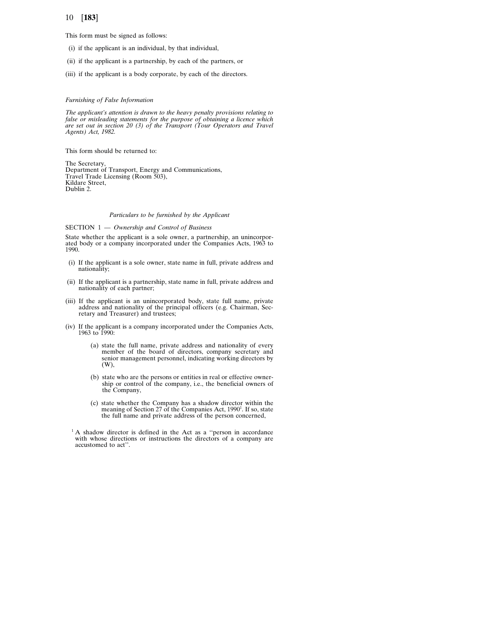This form must be signed as follows:

- (i) if the applicant is an individual, by that individual,
- (ii) if the applicant is a partnership, by each of the partners, or
- (iii) if the applicant is a body corporate, by each of the directors.

#### *Furnishing of False Information*

*The applicant's attention is drawn to the heavy penalty provisions relating to false or misleading statements for the purpose of obtaining a licence which are set out in section 20 (3) of the Transport (Tour Operators and Travel Agents) Act, 1982.*

This form should be returned to:

The Secretary, Department of Transport, Energy and Communications, Travel Trade Licensing (Room 503), Kildare Street, Dublin 2.

#### *Particulars to be furnished by the Applicant*

#### SECTION 1 — *Ownership and Control of Business*

State whether the applicant is a sole owner, a partnership, an unincorporated body or a company incorporated under the Companies Acts, 1963 to 1990.

- (i) If the applicant is a sole owner, state name in full, private address and nationality;
- (ii) If the applicant is a partnership, state name in full, private address and nationality of each partner;
- (iii) If the applicant is an unincorporated body, state full name, private address and nationality of the principal officers (e.g. Chairman, Secretary and Treasurer) and trustees;
- (iv) If the applicant is a company incorporated under the Companies Acts, 1963 to 1990:
	- (a) state the full name, private address and nationality of every member of the board of directors, company secretary and senior management personnel, indicating working directors by (W),
	- (b) state who are the persons or entities in real or effective ownership or control of the company, i.e., the beneficial owners of the Company,
	- (c) state whether the Company has a shadow director within the meaning of Section 27 of the Companies Act, 1990<sup>1</sup>. If so, state the full name and private address of the person concerned,

 $<sup>1</sup>$  A shadow director is defined in the Act as a "person in accordance</sup> with whose directions or instructions the directors of a company are accustomed to act''.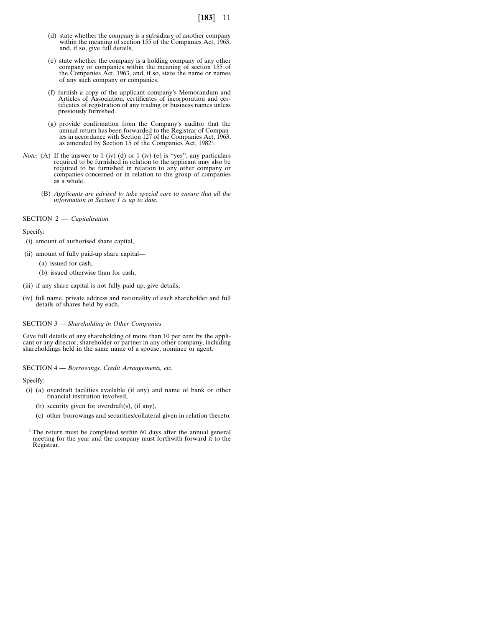- (d) state whether the company is a subsidiary of another company within the meaning of section 155 of the Companies Act, 1963, and, if so, give full details,
- (e) state whether the company is a holding company of any other company or companies within the meaning of section 155 of the Companies Act, 1963, and, if so, state the name or names of any such company or companies,
- (f) furnish a copy of the applicant company's Memorandum and Articles of Association, certificates of incorporation and certificates of registration of any trading or business names unless previously furnished.
- (g) provide confirmation from the Company's auditor that the annual return has been forwarded to the Registrar of Compan-ies in accordance with Section 127 of the Companies Act, 1963, as amended by Section 15 of the Companies Act, 1982<sup>1</sup>.
- *Note:* (A) If the answer to 1 (iv) (d) or 1 (iv) (e) is "yes", any particulars required to be furnished in relation to the applicant may also be required to be furnished in relation to any other company or companies concerned or in relation to the group of companies as a whole.
	- (B) *Applicants are advised to take special care to ensure that all the information in Section 1 is up to date.*

#### SECTION 2 — *Capitalisation*

Specify:

- (i) amount of authorised share capital,
- (ii) amount of fully paid-up share capital—
	- (a) issued for cash,
	- (b) issued otherwise than for cash,
- (iii) if any share capital is not fully paid up, give details,
- (iv) full name, private address and nationality of each shareholder and full details of shares held by each.

#### SECTION 3 — *Shareholding in Other Companies*

Give full details of any shareholding of more than 10 per cent by the applicant or any director, shareholder or partner in any other company, including shareholdings held in the same name of a spouse, nominee or agent.

SECTION 4 — *Borrowings, Credit Arrangements, etc.*

Specify:

- (i) (a) overdraft facilities available (if any) and name of bank or other financial institution involved,
	- (b) security given for overdraft(s), (if any),
	- (c) other borrowings and securities/collateral given in relation thereto,
- $1$ <sup>1</sup> The return must be completed within 60 days after the annual general meeting for the year and the company must forthwith forward it to the Registrar.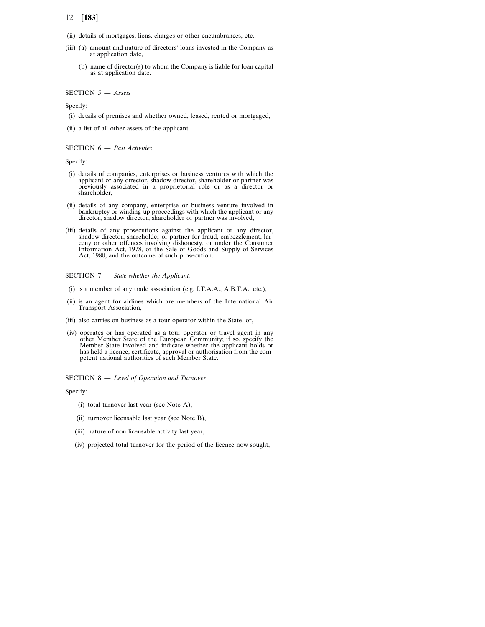- 12 [**183**]
- (ii) details of mortgages, liens, charges or other encumbrances, etc.,
- (iii) (a) amount and nature of directors' loans invested in the Company as at application date,
	- (b) name of director(s) to whom the Company is liable for loan capital as at application date.

### SECTION 5 — *Assets*

Specify:

- (i) details of premises and whether owned, leased, rented or mortgaged,
- (ii) a list of all other assets of the applicant.

#### SECTION 6 — *Past Activities*

#### Specify:

- (i) details of companies, enterprises or business ventures with which the applicant or any director, shadow director, shareholder or partner was previously associated in a proprietorial role or as a director or shareholder,
- (ii) details of any company, enterprise or business venture involved in bankruptcy or winding-up proceedings with which the applicant or any director, shadow director, shareholder or partner was involved,
- (iii) details of any prosecutions against the applicant or any director, shadow director, shareholder or partner for fraud, embezzlement, larceny or other offences involving dishonesty, or under the Consumer Information Act, 1978, or the Sale of Goods and Supply of Services Act, 1980, and the outcome of such prosecution.

#### SECTION 7 — *State whether the Applicant:—*

- (i) is a member of any trade association (e.g. I.T.A.A., A.B.T.A., etc.),
- (ii) is an agent for airlines which are members of the International Air Transport Association,
- (iii) also carries on business as a tour operator within the State, or,
- (iv) operates or has operated as a tour operator or travel agent in any other Member State of the European Community; if so, specify the Member State involved and indicate whether the applicant holds or has held a licence, certificate, approval or authorisation from the competent national authorities of such Member State.
- SECTION 8 *Level of Operation and Turnover*

Specify:

- (i) total turnover last year (see Note A),
- (ii) turnover licensable last year (see Note B),
- (iii) nature of non licensable activity last year,
- (iv) projected total turnover for the period of the licence now sought,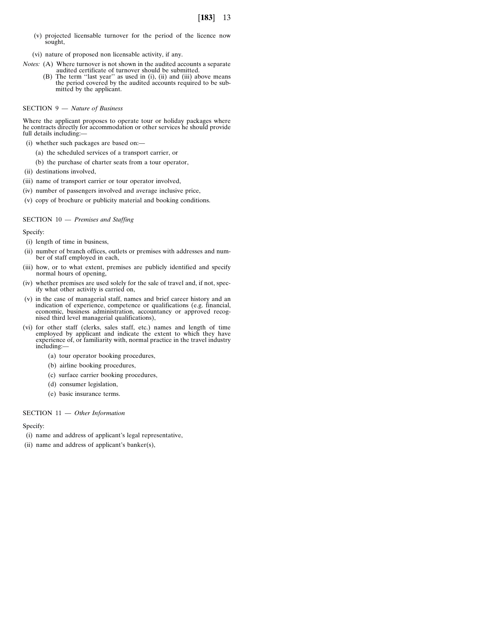(v) projected licensable turnover for the period of the licence now sought,

(vi) nature of proposed non licensable activity, if any.

- *Notes:* (A) Where turnover is not shown in the audited accounts a separate audited certificate of turnover should be submitted.
	- (B) The term ''last year'' as used in (i), (ii) and (iii) above means the period covered by the audited accounts required to be submitted by the applicant.

### SECTION 9 — *Nature of Business*

Where the applicant proposes to operate tour or holiday packages where he contracts directly for accommodation or other services he should provide full details including:

- (i) whether such packages are based on:—
	- (a) the scheduled services of a transport carrier, or
	- (b) the purchase of charter seats from a tour operator,
- (ii) destinations involved,
- (iii) name of transport carrier or tour operator involved,
- (iv) number of passengers involved and average inclusive price,
- (v) copy of brochure or publicity material and booking conditions.

#### SECTION 10 — *Premises and Staffing*

Specify:

- (i) length of time in business,
- (ii) number of branch offices, outlets or premises with addresses and number of staff employed in each,
- (iii) how, or to what extent, premises are publicly identified and specify normal hours of opening,
- (iv) whether premises are used solely for the sale of travel and, if not, specify what other activity is carried on,
- (v) in the case of managerial staff, names and brief career history and an indication of experience, competence or qualifications (e.g. financial, economic, business administration, accountancy or approved recognised third level managerial qualifications),
- (vi) for other staff (clerks, sales staff, etc.) names and length of time employed by applicant and indicate the extent to which they have experience of, or familiarity with, normal practice in the travel industry including:—
	- (a) tour operator booking procedures,
	- (b) airline booking procedures,
	- (c) surface carrier booking procedures,
	- (d) consumer legislation,
	- (e) basic insurance terms.

### SECTION 11 — *Other Information*

### Specify:

- (i) name and address of applicant's legal representative,
- (ii) name and address of applicant's banker(s),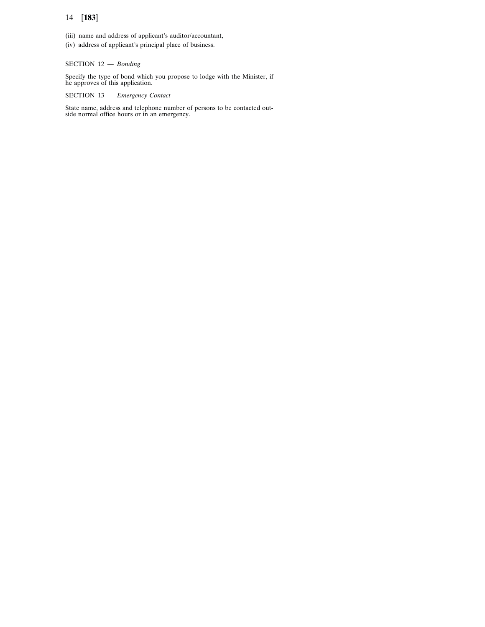- (iii) name and address of applicant's auditor/accountant,
- (iv) address of applicant's principal place of business.

# SECTION 12 — *Bonding*

Specify the type of bond which you propose to lodge with the Minister, if he approves of this application.

# SECTION 13 — *Emergency Contact*

State name, address and telephone number of persons to be contacted out-side normal office hours or in an emergency.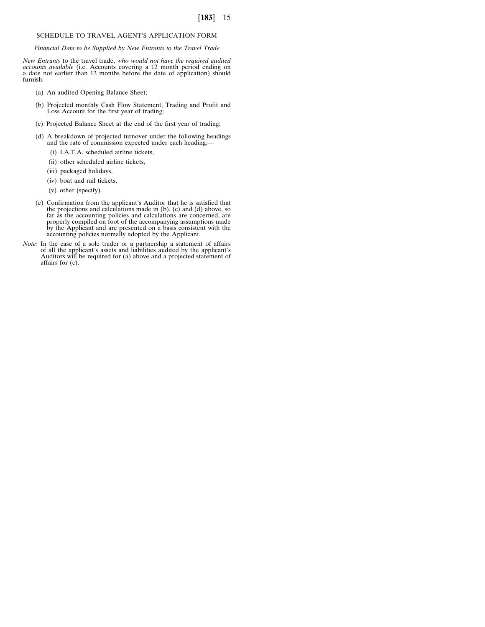### SCHEDULE TO TRAVEL AGENT'S APPLICATION FORM

*Financial Data to be Supplied by New Entrants to the Travel Trade*

New Entrants to the travel trade, who would not have the required audited accounts available (i.e. Accounts covering a 12 month period ending on<br>a date not earlier than 12 months before the date of application) should furnish:

- (a) An audited Opening Balance Sheet;
- (b) Projected monthly Cash Flow Statement, Trading and Profit and Loss Account for the first year of trading;
- (c) Projected Balance Sheet at the end of the first year of trading;
- (d) A breakdown of projected turnover under the following headings and the rate of commission expected under each heading:—
	- (i) I.A.T.A. scheduled airline tickets,
	- (ii) other scheduled airline tickets,
	- (iii) packaged holidays,
	- (iv) boat and rail tickets,
	- (v) other (specify).
- (e) Confirmation from the applicant's Auditor that he is satisfied that<br>the projections and calculations made in (b), (c) and (d) above, so<br>far as the accounting policies and calculations are concerned, are<br>properly compi
- *Note:* In the case of a sole trader or a partnership a statement of affairs of all the applicant's assets and liabilities audited by the applicant's Auditors will be required for (a) above and a projected statement of affairs for (c).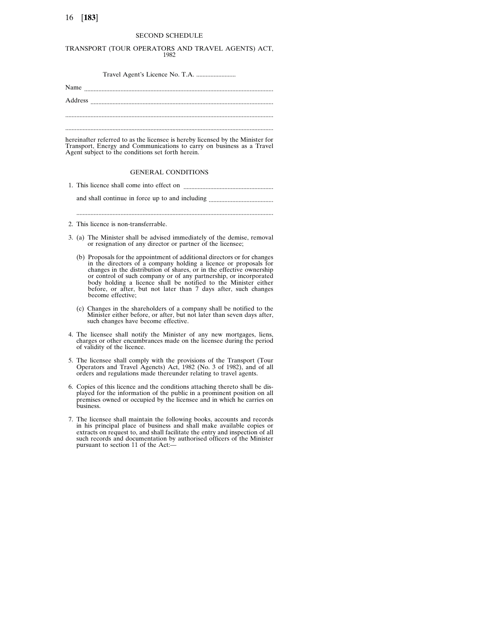#### SECOND SCHEDULE

### TRANSPORT (TOUR OPERATORS AND TRAVEL AGENTS) ACT,

1982

Travel Agent's Licence No. T.A. .........................

Name ........................................................................................................................ Address .................................................................................................................... ....................................................................................................................................

hereinafter referred to as the licensee is hereby licensed by the Minister for Transport, Energy and Communications to carry on business as a Travel Agent subject to the conditions set forth herein.

#### GENERAL CONDITIONS

1. This licence shall come into effect on .........................................................

and shall continue in force up to and including .........................................

.............................................................................................................................

2. This licence is non-transferrable.

- 3. (a) The Minister shall be advised immediately of the demise, removal or resignation of any director or partner of the licensee;
	- (b) Proposals for the appointment of additional directors or for changes in the directors of a company holding a licence or proposals for changes in the distribution of shares, or in the effective ownership or control of such company or of any partnership, or incorporated body holding a licence shall be notified to the Minister either before, or after, but not later than 7 days after, such changes become effective;
	- (c) Changes in the shareholders of a company shall be notified to the Minister either before, or after, but not later than seven days after, such changes have become effective.
- 4. The licensee shall notify the Minister of any new mortgages, liens, charges or other encumbrances made on the licensee during the period of validity of the licence.
- 5. The licensee shall comply with the provisions of the Transport (Tour Operators and Travel Agencts) Act, 1982 (No. 3 of 1982), and of all orders and regulations made thereunder relating to travel agents.
- 6. Copies of this licence and the conditions attaching thereto shall be displayed for the information of the public in a prominent position on all premises owned or occupied by the licensee and in which he carries on business.
- 7. The licensee shall maintain the following books, accounts and records in his principal place of business and shall make available copies or extracts on request to, and shall facilitate the entry and inspection of all such records and documentation by authorised officers of the Minister pursuant to section 11 of the Act:—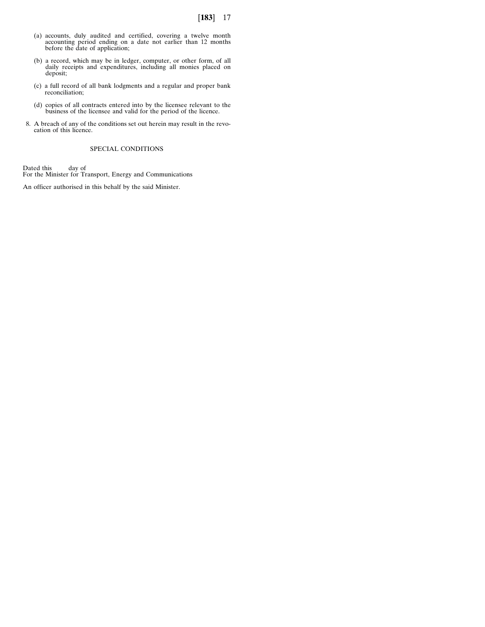- (a) accounts, duly audited and certified, covering a twelve month accounting period ending on a date not earlier than 12 months before the date of application;
- (b) a record, which may be in ledger, computer, or other form, of all daily receipts and expenditures, including all monies placed on deposit;
- (c) a full record of all bank lodgments and a regular and proper bank reconciliation;
- (d) copies of all contracts entered into by the licensee relevant to the business of the licensee and valid for the period of the licence.
- 8. A breach of any of the conditions set out herein may result in the revo-cation of this licence.

### SPECIAL CONDITIONS

Dated this day of For the Minister for Transport, Energy and Communications

An officer authorised in this behalf by the said Minister.